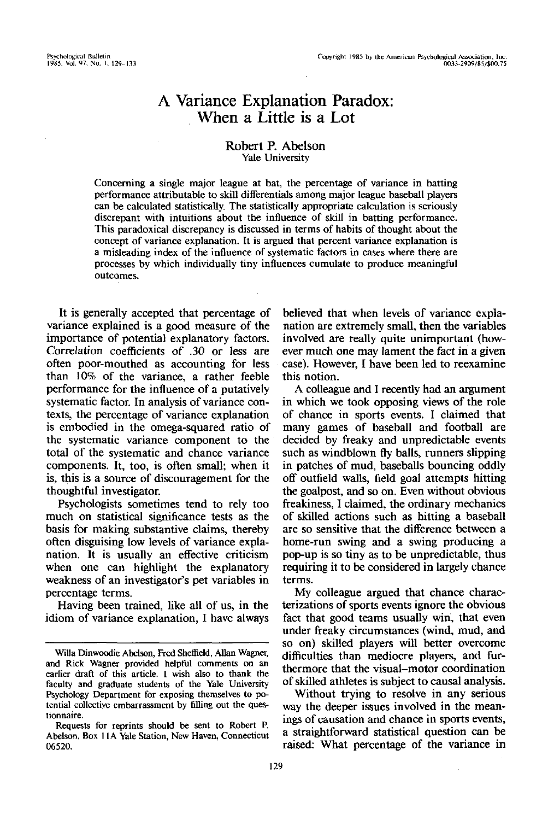# A Variance Explanation Paradox: When a Little is a Lot

## Robert P. Abelson Yale University

Concerning a single major league at bat, the percentage of variance in batting performance attributable to skill differentials among major league baseball players can be calculated statistically. The statistically appropriate calculation is seriously discrepant with intuitions about the influence of skill in batting performance. This paradoxical discrepancy is discussed in terms of habits of thought about the concept of variance explanation. It is argued that percent variance explanation is a misleading index of the influence of systematic factors in cases where there are processes by which individually tiny influences cumulate to produce meaningful outcomes.

It is generally accepted that percentage of variance explained is a good measure of the importance of potential explanatory factors. Correlation coefficients of .30 or less are often poor-mouthed as accounting for less than 10% of the variance, a rather feeble performance for the influence of a putatively systematic factor. In analysis of variance contexts, the percentage of variance explanation is embodied in the omega-squared ratio of the systematic variance component to the total of the systematic and chance variance components. It, too, is often small; when it is, this is a source of discouragement for the thoughtful investigator.

Psychologists sometimes tend to rely too much on statistical significance tests as the basis for making substantive claims, thereby often disguising low levels of variance explanation. It is usually an effective criticism when one can highlight the explanatory weakness of an investigator's pet variables in percentage terms.

Having been trained, like all of us, in the idiom of variance explanation, I have always

believed that when levels of variance explanation are extremely small, then the variables involved are really quite unimportant (however much one may lament the fact in a given case). However, I have been led to reexamine this notion.

A colleague and I recently had an argument in which we took opposing views of the role of chance in sports events. I claimed that many games of baseball and football are decided by freaky and unpredictable events such as windblown fly balls, runners slipping in patches of mud, baseballs bouncing oddly off outfield walls, field goal attempts hitting the goalpost, and so on. Even without obvious freakiness, I claimed, the ordinary mechanics of skilled actions such as hitting a baseball are so sensitive that the difference between a home-run swing and a swing producing a pop-up is so tiny as to be unpredictable, thus requiring it to be considered in largely chance terms.

My colleague argued that chance characterizations of sports events ignore the obvious fact that good teams usually win, that even under freaky circumstances (wind, mud, and so on) skilled players will better overcome difficulties than mediocre players, and furthermore that the visual-motor coordination of skilled athletes is subject to causal analysis.

Without trying to resolve in any serious way the deeper issues involved in the meanings of causation and chance in sports events, a straightforward statistical question can be raised: What percentage of the variance in

Willa Dinwoodie Abelson, Fred Sheffield, Allan Wagner, and Rick Wagner provided helpful comments on an earlier draft of this article. I wish also to thank the faculty and graduate students of the Yale University Psychology Department for exposing themselves to potential collective embarrassment by filling out the questionnaire.

Requests for reprints should be sent to Robert P. Abelson, Box 11A Yale Station, New Haven, Connecticut 06520.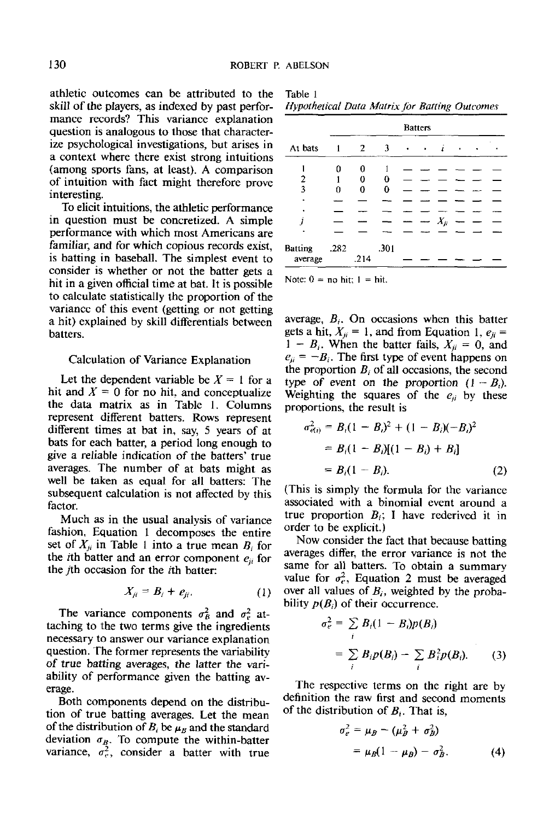athletic outcomes can be attributed to the skill of the players, as indexed by past performance records? This variance explanation question is analogous to those that characterize psychological investigations, but arises in a context where there exist strong intuitions (among sports fans, at least). A comparison of intuition with fact might therefore prove interesting.

To elicit intuitions, the athletic performance in question must be concretized. A simple performance with which most Americans are familiar, and for which copious records exist, is batting in baseball. The simplest event to consider is whether or not the batter gets a hit in a given official time at bat. It is possible to calculate statistically the proportion of the variance of this event (getting or not getting a hit) explained by skill differentials between batters.

#### Calculation of Variance Explanation

Let the dependent variable be  $X = 1$  for a hit and  $X = 0$  for no hit, and conceptualize the data matrix as in Table 1. Columns represent different batters. Rows represent different times at bat in, say, 5 years of at bats for each batter, a period long enough to give a reliable indication of the batters' true averages. The number of at bats might as well be taken as equal for all batters: The subsequent calculation is not affected by this factor.

Much as in the usual analysis of variance fashion, Equation 1 decomposes the entire set of  $X_{ji}$  in Table 1 into a true mean  $B_i$  for the *i*th batter and an error component  $e_{ii}$  for the *j*th occasion for the *i*th batter:

$$
X_{ji} = B_i + e_{ji}.
$$
 (1)

The variance components  $\sigma_B^2$  and  $\sigma_e^2$  attaching to the two terms give the ingredients necessary to answer our variance explanation question. The former represents the variability of true batting averages, the latter the variability of performance given the batting average.

Both components depend on the distribution of true batting averages. Let the mean of the distribution of  $B_i$  be  $\mu_B$  and the standard deviation  $\sigma_B$ . To compute the within-batter variance,  $\sigma_e^2$ , consider a batter with true

Table 1 *Hypothetical Data Matrix for Batting Outcomes*

|                           | <b>Batters</b> |                |      |   |           |          |   |  |  |
|---------------------------|----------------|----------------|------|---|-----------|----------|---|--|--|
| At bats                   |                | $\overline{2}$ | 3    | ٠ | $\bullet$ | i        | ٠ |  |  |
|                           | 0              | 0              |      |   |           |          |   |  |  |
| 2                         |                | 0              | 0    |   |           |          |   |  |  |
| 3                         | 0              | 0              | 0    |   |           |          |   |  |  |
|                           |                |                |      |   |           |          |   |  |  |
|                           |                |                |      |   |           |          |   |  |  |
|                           |                |                |      |   |           | $X_{ji}$ |   |  |  |
|                           |                |                |      |   |           |          |   |  |  |
| <b>Batting</b><br>average | .282           | .214           | .301 |   |           |          |   |  |  |

Note:  $0 = \text{no hit: } 1 = \text{hit}.$ 

average, *B<sup>t</sup> .* On occasions when this batter gets a hit,  $X_{ii} = 1$ , and from Equation 1,  $e_{ji} =$  $1 - B_i$ . When the batter fails,  $X_{ji} = 0$ , and  $e_{ii} = -B_i$ . The first type of event happens on the proportion  $B_i$  of all occasions, the second type of event on the proportion  $(1 - B_i)$ . Weighting the squares of the *e,,* by these proportions, the result is

$$
\sigma_{e(i)}^2 = B_i (1 - B_i)^2 + (1 - B_i)(-B_i)^2
$$
  
= B<sub>i</sub>(1 - B<sub>i</sub>)[(1 - B<sub>i</sub>) + B<sub>i</sub>]  
= B<sub>i</sub>(1 - B<sub>i</sub>). (2)

(This is simply the formula for the variance associated with a binomial event around a true proportion  $B_i$ ; I have rederived it in order to be explicit.)

Now consider the fact that because batting averages differ, the error variance is not the same for all batters. To obtain a summary value for  $\sigma_e^2$ , Equation 2 must be averaged over all values of  $B_i$ , weighted by the probability  $p(B_i)$  of their occurrence.

$$
\sigma_e^2 = \sum_j B_i (1 - B_i) p(B_i)
$$
  
= 
$$
\sum_j B_i p(B_i) - \sum_j B_i^2 p(B_i).
$$
 (3)

The respective terms on the right are by definition the raw first and second moments of the distribution of *B,.* That is,

$$
\sigma_e^2 = \mu_B - (\mu_B^2 + \sigma_B^2)
$$
  
=  $\mu_B(1 - \mu_B) - \sigma_B^2$ . (4)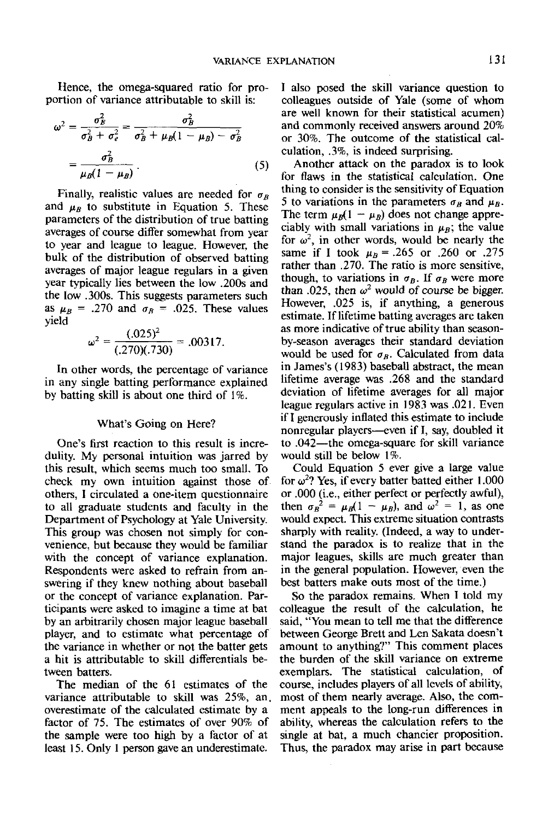Hence, the omega-squared ratio for proportion of variance attributable to skill is:

$$
\omega^2 = \frac{\sigma_B^2}{\sigma_B^2 + \sigma_e^2} = \frac{\sigma_B^2}{\sigma_B^2 + \mu_B (1 - \mu_B) - \sigma_B^2}
$$

$$
= \frac{\sigma_B^2}{\mu_B (1 - \mu_B)}.
$$
(5)

Finally, realistic values are needed for  $\sigma_B$ and  $\mu_B$  to substitute in Equation 5. These parameters of the distribution of true batting averages of course differ somewhat from year to year and league to league. However, the bulk of the distribution of observed batting averages of major league regulars in a given year typically lies between the low .200s and the low .300s. This suggests parameters such as  $\mu_B$  = .270 and  $\sigma_B$  = .025. These values yield

$$
\omega^2 = \frac{(.025)^2}{(.270)(.730)} = .00317.
$$

In other words, the percentage of variance in any single batting performance explained by batting skill is about one third of 1%.

### What's Going on Here?

One's first reaction to this result is incredulity. My personal intuition was jarred by this result, which seems much too small. To check my own intuition against those of others, I circulated a one-item questionnaire to all graduate students and faculty in the Department of Psychology at Yale University. This group was chosen not simply for convenience, but because they would be familiar with the concept of variance explanation. Respondents were asked to refrain from answering if they knew nothing about baseball or the concept of variance explanation. Participants were asked to imagine a time at bat by an arbitrarily chosen major league baseball player, and to estimate what percentage of the variance in whether or not the batter gets a hit is attributable to skill differentials between batters.

The median of the 61 estimates of the variance attributable to skill was 25%, an. overestimate of the calculated estimate by a factor of 75. The estimates of over 90% of the sample were too high by a factor of at least 15. Only 1 person gave an underestimate.

I also posed the skill variance question to colleagues outside of Yale (some of whom are well known for their statistical acumen) and commonly received answers around 20% or 30%. The outcome of the statistical calculation, .3%, is indeed surprising.

Another attack on the paradox is to look for flaws in the statistical calculation. One thing to consider is the sensitivity of Equation 5 to variations in the parameters  $\sigma_B$  and  $\mu_B$ . The term  $\mu_B(1 - \mu_B)$  does not change appreciably with small variations in  $\mu_B$ ; the value for  $\omega^2$ , in other words, would be nearly the same if I took  $\mu_B = .265$  or .260 or .275 rather than .270. The ratio is more sensitive, though, to variations in  $\sigma_B$ . If  $\sigma_B$  were more than .025, then  $\omega^2$  would of course be bigger. However, .025 is, if anything, a generous estimate. If lifetime batting averages are taken as more indicative of true ability than seasonby-season averages their standard deviation would be used for  $\sigma_B$ . Calculated from data in James's (1983) baseball abstract, the mean lifetime average was .268 and the standard deviation of lifetime averages for all major league regulars active in 1983 was .021. Even if I generously inflated this estimate to include nonregular players—even if I, say, doubled it to .042—the omega-square for skill variance would still be below 1%.

Could Equation 5 ever give a large value for  $\omega^2$ ? Yes, if every batter batted either 1.000 or .000 (i.e., either perfect or perfectly awful), then  $\sigma_B^2 = \mu_B(1 - \mu_B)$ , and  $\omega^2 = 1$ , as one would expect. This extreme situation contrasts sharply with reality. (Indeed, a way to understand the paradox is to realize that in the major leagues, skills are much greater than in the general population. However, even the best batters make outs most of the time.)

So the paradox remains. When I told my colleague the result of the calculation, he said, "You mean to tell me that the difference between George Brett and Len Sakata doesn't amount to anything?" This comment places the burden of the skill variance on extreme exemplars. The statistical calculation, of course, includes players of all levels of ability, most of them nearly average. Also, the comment appeals to the long-run differences in ability, whereas the calculation refers to the single at bat, a much chancier proposition. Thus, the paradox may arise in part because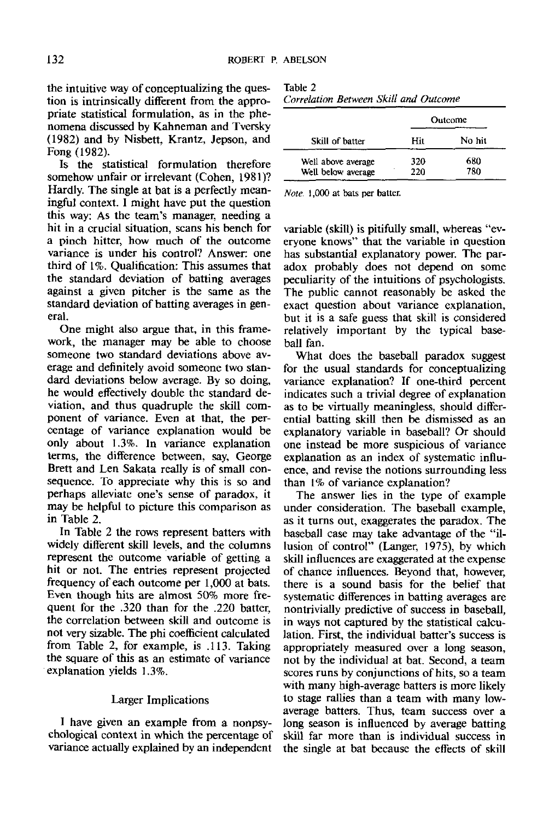the intuitive way of conceptualizing the question is intrinsically different from the appropriate statistical formulation, as in the phenomena discussed by Kahneman and Tversky (1982) and by Nisbett, Krantz, Jepson, and Fong (1982).

Is the statistical formulation therefore somehow unfair or irrelevant (Cohen, 1981)? Hardly. The single at bat is a perfectly meaningful context. I might have put the question this way: As the team's manager, needing a hit in a crucial situation, scans his bench for a pinch hitter, how much of the outcome variance is under his control? Answer: one third of 1%. Qualification: This assumes that the standard deviation of batting averages against a given pitcher is the same as the standard deviation of batting averages in general.

One might also argue that, in this framework, the manager may be able to choose someone two standard deviations above average and definitely avoid someone two standard deviations below average. By so doing, he would effectively double the standard deviation, and thus quadruple the skill component of variance. Even at that, the percentage of variance explanation would be only about 1.3%. In variance explanation terms, the difference between, say, George Brett and Len Sakata really is of small consequence. To appreciate why this is so and perhaps alleviate one's sense of paradox, it may be helpful to picture this comparison as in Table 2.

In Table 2 the rows represent batters with widely different skill levels, and the columns represent the outcome variable of getting a hit or not. The entries represent projected frequency of each outcome per 1,000 at bats. Even though hits are almost 50% more frequent for the .320 than for the .220 batter, the correlation between skill and outcome is not very sizable. The phi coefficient calculated from Table 2, for example, *is* .113. Taking the square of this as an estimate of variance explanation yields 1.3%.

# Larger Implications

I have given an example from a nonpsychological context in which the percentage of variance actually explained by an independent

Table 2 *Correlation Between Skill and Outcome*

|                    | Outcome |        |  |  |
|--------------------|---------|--------|--|--|
| Skill of batter    | Hit     | No hit |  |  |
| Well above average | 320     | 680    |  |  |
| Well below average | 220     | 780    |  |  |

*Note.* 1,000 at bats per batter.

variable (skill) is pitifully small, whereas "everyone knows" that the variable in question has substantial explanatory power. The paradox probably does not depend on some peculiarity of the intuitions of psychologists. The public cannot reasonably be asked the exact question about variance explanation, but it is a safe guess that skill is considered relatively important by the typical baseball fan.

What does the baseball paradox suggest for the usual standards for conceptualizing variance explanation? If one-third percent indicates such a trivial degree of explanation as to be virtually meaningless, should differential batting skill then be dismissed as an explanatory variable in baseball? Or should one instead be more suspicious of variance explanation as an index of systematic influence, and revise the notions surrounding less than 1% of variance explanation?

The answer lies in the type of example under consideration. The baseball example, as it turns out, exaggerates the paradox. The baseball case may take advantage of the "illusion of control" (Langer, 1975), by which skill influences are exaggerated at the expense of chance influences. Beyond that, however, there is a sound basis for the belief that systematic differences in batting averages are nontrivially predictive of success in baseball, in ways not captured by the statistical calculation. First, the individual batter's success is appropriately measured over a long season, not by the individual at bat. Second, a team scores runs by conjunctions of hits, so a team with many high-average batters is more likely to stage rallies than a team with many lowaverage batters. Thus, team success over a long season is influenced by average batting skill far more than is individual success in the single at bat because the effects of skill